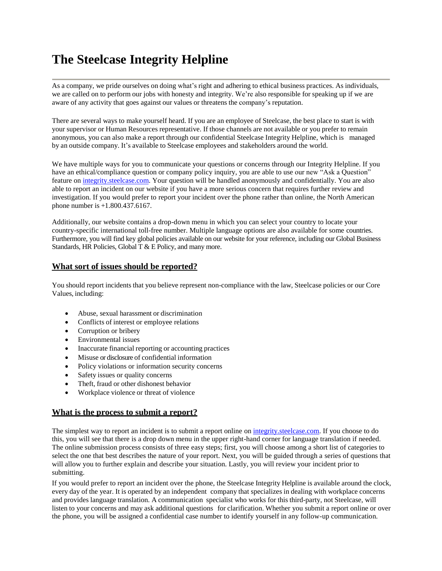# **The Steelcase Integrity Helpline**

As a company, we pride ourselves on doing what's right and adhering to ethical business practices. As individuals, we are called on to perform our jobs with honesty and integrity. We're also responsible for speaking up if we are aware of any activity that goes against our values or threatens the company's reputation.

There are several ways to make yourself heard. If you are an employee of Steelcase, the best place to start is with your supervisor or Human Resources representative. If those channels are not available or you prefer to remain anonymous, you can also make a report through our confidential Steelcase Integrity Helpline, which is managed by an outside company. It's available to Steelcase employees and stakeholders around the world.

We have multiple ways for you to communicate your questions or concerns through our Integrity Helpline. If you have an ethical/compliance question or company policy inquiry, you are able to use our new "Ask a Question" feature o[n integrity.steelcase.com.](file:///C:/Users/mpauze/Downloads/integrity.steelcase.com) Your question will be handled anonymously and confidentially. You are also able to report an incident on our website if you have a more serious concern that requires further review and investigation. If you would prefer to report your incident over the phone rather than online, the North American phone number is +1.800.437.6167.

Additionally, our website contains a drop-down menu in which you can select your country to locate your country-specific international toll-free number. Multiple language options are also available for some countries. Furthermore, you will find key global policies available on our website for your reference, including our Global Business Standards, HR Policies, Global T & E Policy, and many more.

## **What sort of issues should be reported?**

You should report incidents that you believe represent non-compliance with the law, Steelcase policies or our Core Values, including:

- Abuse, sexual harassment or discrimination
- Conflicts of interest or employee relations
- Corruption or bribery
- Environmental issues
- Inaccurate financial reporting or accounting practices
- Misuse or disclosure of confidential information
- Policy violations or information security concerns
- Safety issues or quality concerns
- Theft, fraud or other dishonest behavior
- Workplace violence or threat of violence

## **What is the process to submit a report?**

The simplest way to report an incident is to submit a report online on [integrity.steelcase.com.](file:///C:/Users/mpauze/Downloads/integrity.steelcase.com) If you choose to do this, you will see that there is a drop down menu in the upper right-hand corner for language translation if needed. The online submission process consists of three easy steps; first, you will choose among a short list of categories to select the one that best describes the nature of your report. Next, you will be guided through a series of questions that will allow you to further explain and describe your situation. Lastly, you will review your incident prior to submitting.

If you would prefer to report an incident over the phone, the Steelcase Integrity Helpline is available around the clock, every day of the year. It is operated by an independent company that specializes in dealing with workplace concerns and provides language translation. A communication specialist who works for this third-party, not Steelcase, will listen to your concerns and may ask additional questions for clarification. Whether you submit a report online or over the phone, you will be assigned a confidential case number to identify yourself in any follow-up communication.